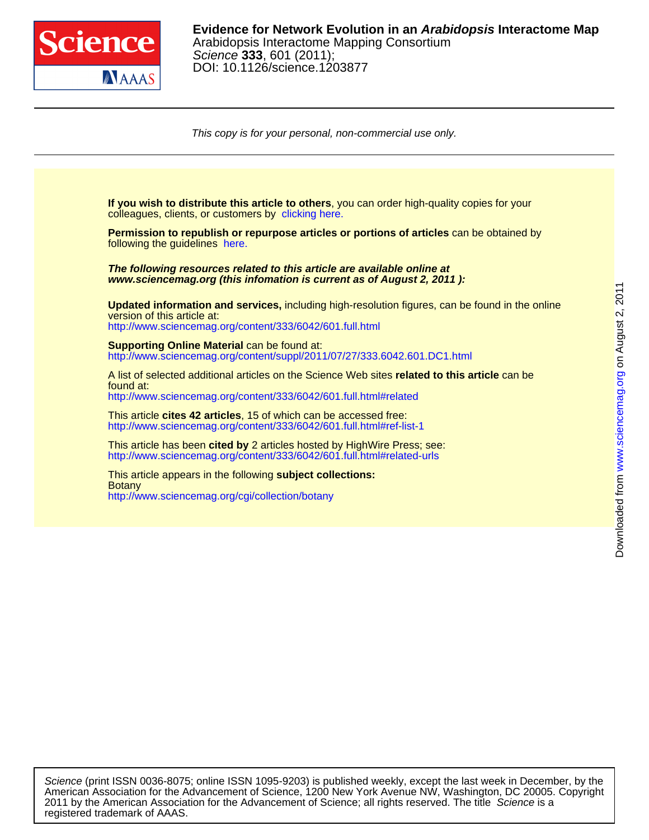

DOI: 10.1126/science.1203877 Science **333**, 601 (2011); Arabidopsis Interactome Mapping Consortium **Evidence for Network Evolution in an Arabidopsis Interactome Map**

This copy is for your personal, non-commercial use only.



registered trademark of AAAS. 2011 by the American Association for the Advancement of Science; all rights reserved. The title Science is a American Association for the Advancement of Science, 1200 New York Avenue NW, Washington, DC 20005. Copyright Science (print ISSN 0036-8075; online ISSN 1095-9203) is published weekly, except the last week in December, by the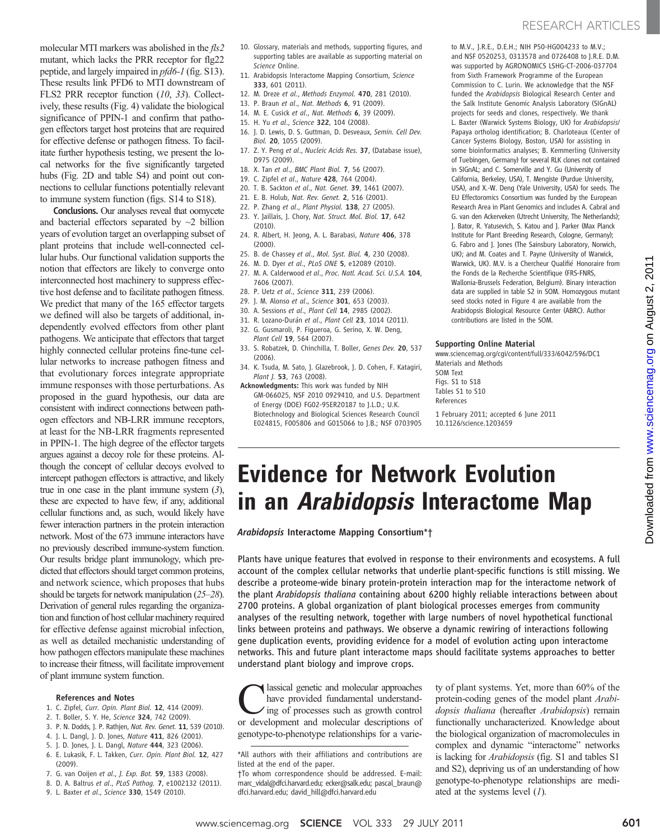molecular MTI markers was abolished in the fls2 mutant, which lacks the PRR receptor for flg22 peptide, and largely impaired in pfd6-1 (fig. S13). These results link PFD6 to MTI downstream of FLS2 PRR receptor function (10, 33). Collectively, these results (Fig. 4) validate the biological significance of PPIN-1 and confirm that pathogen effectors target host proteins that are required for effective defense or pathogen fitness. To facilitate further hypothesis testing, we present the local networks for the five significantly targeted hubs (Fig. 2D and table S4) and point out connections to cellular functions potentially relevant to immune system function (figs. S14 to S18).

Conclusions. Our analyses reveal that oomycete and bacterial effectors separated by  $\sim$ 2 billion years of evolution target an overlapping subset of plant proteins that include well-connected cellular hubs. Our functional validation supports the notion that effectors are likely to converge onto interconnected host machinery to suppress effective host defense and to facilitate pathogen fitness. We predict that many of the 165 effector targets we defined will also be targets of additional, independently evolved effectors from other plant pathogens. We anticipate that effectors that target highly connected cellular proteins fine-tune cellular networks to increase pathogen fitness and that evolutionary forces integrate appropriate immune responses with those perturbations. As proposed in the guard hypothesis, our data are consistent with indirect connections between pathogen effectors and NB-LRR immune receptors, at least for the NB-LRR fragments represented in PPIN-1. The high degree of the effector targets argues against a decoy role for these proteins. Although the concept of cellular decoys evolved to intercept pathogen effectors is attractive, and likely true in one case in the plant immune system  $(3)$ , these are expected to have few, if any, additional cellular functions and, as such, would likely have fewer interaction partners in the protein interaction network. Most of the 673 immune interactors have no previously described immune-system function. Our results bridge plant immunology, which predicted that effectors should target common proteins, and network science, which proposes that hubs should be targets for network manipulation (25–28). Derivation of general rules regarding the organization and function of host cellular machinery required for effective defense against microbial infection, as well as detailed mechanistic understanding of how pathogen effectors manipulate these machines to increase their fitness, will facilitate improvement of plant immune system function.

#### References and Notes

- 1. C. Zipfel, Curr. Opin. Plant Biol. 12, 414 (2009).
- 2. T. Boller, S. Y. He, Science 324, 742 (2009).
- 3. P. N. Dodds, J. P. Rathjen, Nat. Rev. Genet. 11, 539 (2010).
- 4. J. L. Dangl, J. D. Jones, Nature 411, 826 (2001).
- 5. J. D. Jones, J. L. Dangl, Nature 444, 323 (2006).
- 6. E. Lukasik, F. L. Takken, Curr. Opin. Plant Biol. 12, 427 (2009).
- 7. G. van Ooijen et al., J. Exp. Bot. 59, 1383 (2008).
- 8. D. A. Baltrus et al., PLoS Pathog. 7, e1002132 (2011).
- 9. L. Baxter et al., Science 330, 1549 (2010).
- 10. Glossary, materials and methods, supporting figures, and supporting tables are available as supporting material on Science Online.
- 11. Arabidopsis Interactome Mapping Consortium, Science 333, 601 (2011).
- 12. M. Dreze et al., Methods Enzymol. 470, 281 (2010).
- 13. P. Braun et al., Nat. Methods 6, 91 (2009).
	- 14. M. E. Cusick et al., Nat. Methods 6, 39 (2009).
	- 15. H. Yu et al., Science 322, 104 (2008).
	- 16. J. D. Lewis, D. S. Guttman, D. Desveaux, Semin. Cell Dev. Biol. 20, 1055 (2009).
	- 17. Z. Y. Peng et al., Nucleic Acids Res. 37, (Database issue), D975 (2009).
	- 18. X. Tan et al., BMC Plant Biol. 7, 56 (2007).
	- 19. C. Zipfel et al., Nature 428, 764 (2004).
	- 20. T. B. Sackton et al., Nat. Genet. 39, 1461 (2007).
- 21. E. B. Holub, Nat. Rev. Genet. 2, 516 (2001).
- 22. P. Zhang et al., Plant Physiol. 138, 27 (2005). 23. Y. Jaillais, J. Chory, Nat. Struct. Mol. Biol. 17, 642 (2010).
- 24. R. Albert, H. Jeong, A. L. Barabasi, Nature 406, 378 (2000).
- 25. B. de Chassey et al., Mol. Syst. Biol. 4, 230 (2008).
- 26. M. D. Dyer et al., PLoS ONE 5, e12089 (2010).
- 27. M. A. Calderwood et al., Proc. Natl. Acad. Sci. U.S.A. 104, 7606 (2007).
- 28. P. Uetz et al., Science 311, 239 (2006).
- 29. J. M. Alonso et al., Science 301, 653 (2003).
- 30. A. Sessions et al., Plant Cell 14, 2985 (2002).
- 31. R. Lozano-Durán et al., Plant Cell 23, 1014 (2011).
- 32. G. Gusmaroli, P. Figueroa, G. Serino, X. W. Deng, Plant Cell 19, 564 (2007).
- 33. S. Robatzek, D. Chinchilla, T. Boller, Genes Dev. 20, 537 (2006).
- 34. K. Tsuda, M. Sato, J. Glazebrook, J. D. Cohen, F. Katagiri, Plant J. 53, 763 (2008).
- Acknowledgments: This work was funded by NIH GM-066025, NSF 2010 0929410, and U.S. Department of Energy (DOE) FG02-95ER20187 to J.L.D.; U.K. Biotechnology and Biological Sciences Research Council E024815, F005806 and G015066 to J.B.; NSF 0703905

to M.V., J.R.E., D.E.H.; NIH P50-HG004233 to M.V.; and NSF 0520253, 0313578 and 0726408 to J.R.E. D.M. was supported by AGRONOMICS LSHG-CT-2006-037704 from Sixth Framework Programme of the European Commission to C. Lurin. We acknowledge that the NSF funded the Arabidopsis Biological Research Center and the Salk Institute Genomic Analysis Laboratory (SIGnAL) projects for seeds and clones, respectively. We thank L. Baxter (Warwick Systems Biology, UK) for Arabidopsis/ Papaya ortholog identification; B. Charloteaux (Center of Cancer Systems Biology, Boston, USA) for assisting in some bioinformatics analyses; B. Kemmerling (University of Tuebingen, Germany) for several RLK clones not contained in SIGnAL; and C. Somerville and Y. Gu (University of California, Berkeley, USA), T. Mengiste (Purdue University, USA), and X.-W. Deng (Yale University, USA) for seeds. The EU Effectoromics Consortium was funded by the European Research Area in Plant Genomics and includes A. Cabral and G. van den Ackerveken (Utrecht University, The Netherlands); J. Bator, R. Yatusevich, S. Katou and J. Parker (Max Planck Institute for Plant Breeding Research, Cologne, Germany); G. Fabro and J. Jones (The Sainsbury Laboratory, Norwich, UK); and M. Coates and T. Payne (University of Warwick, Warwick, UK). M.V. is a Chercheur Qualifié Honoraire from the Fonds de la Recherche Scientifique (FRS-FNRS, Wallonia-Brussels Federation, Belgium). Binary interaction data are supplied in table S2 in SOM. Homozygous mutant seed stocks noted in Figure 4 are available from the Arabidopsis Biological Resource Center (ABRC). Author contributions are listed in the SOM.

#### Supporting Online Material

www.sciencemag.org/cgi/content/full/333/6042/596/DC1 Materials and Methods SOM Text Figs. S1 to S18 Tables S1 to S10 References

1 February 2011; accepted 6 June 2011 10.1126/science.1203659

## Evidence for Network Evolution in an Arabidopsis Interactome Map

Arabidopsis Interactome Mapping Consortium\*†

Plants have unique features that evolved in response to their environments and ecosystems. A full account of the complex cellular networks that underlie plant-specific functions is still missing. We describe a proteome-wide binary protein-protein interaction map for the interactome network of the plant Arabidopsis thaliana containing about 6200 highly reliable interactions between about 2700 proteins. A global organization of plant biological processes emerges from community analyses of the resulting network, together with large numbers of novel hypothetical functional links between proteins and pathways. We observe a dynamic rewiring of interactions following gene duplication events, providing evidence for a model of evolution acting upon interactome networks. This and future plant interactome maps should facilitate systems approaches to better understand plant biology and improve crops.

lassical genetic and molecular approaches have provided fundamental understanding of processes such as growth control or development and molecular descriptions of genotype-to-phenotype relationships for a variety of plant systems. Yet, more than 60% of the protein-coding genes of the model plant Arabidopsis thaliana (hereafter Arabidopsis) remain functionally uncharacterized. Knowledge about the biological organization of macromolecules in complex and dynamic "interactome" networks is lacking for Arabidopsis (fig. S1 and tables S1 and S2), depriving us of an understanding of how genotype-to-phenotype relationships are mediated at the systems level  $(1)$ .

<sup>\*</sup>All authors with their affiliations and contributions are listed at the end of the paper.

<sup>†</sup>To whom correspondence should be addressed. E-mail: marc\_vidal@dfci.harvard.edu; ecker@salk.edu; pascal\_braun@ dfci.harvard.edu; david\_hill@dfci.harvard.edu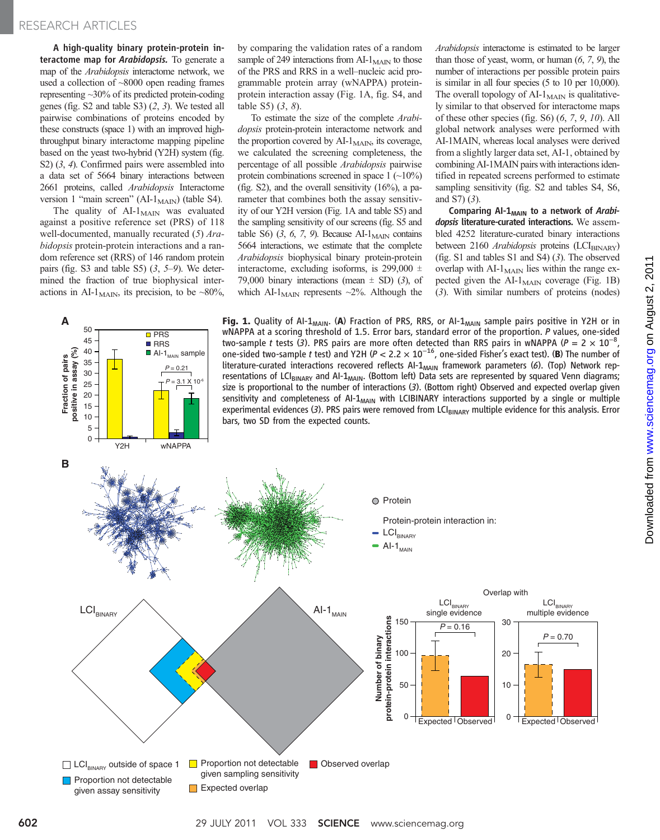### RESEARCH ARTICLES

A high-quality binary protein-protein interactome map for Arabidopsis. To generate a map of the Arabidopsis interactome network, we used a collection of ~8000 open reading frames representing ~30% of its predicted protein-coding genes (fig. S2 and table S3) (2, 3). We tested all pairwise combinations of proteins encoded by these constructs (space 1) with an improved highthroughput binary interactome mapping pipeline based on the yeast two-hybrid (Y2H) system (fig. S2)  $(3, 4)$ . Confirmed pairs were assembled into a data set of 5664 binary interactions between 2661 proteins, called Arabidopsis Interactome version 1 "main screen" (AI- $1_{\text{MAIN}}$ ) (table S4).

The quality of  $AI-1_{MAIN}$  was evaluated against a positive reference set (PRS) of 118 well-documented, manually recurated  $(5)$  Arabidopsis protein-protein interactions and a random reference set (RRS) of 146 random protein pairs (fig. S3 and table S5)  $(3, 5-9)$ . We determined the fraction of true biophysical interactions in AI-1<sub>MAIN</sub>, its precision, to be ~80%,

by comparing the validation rates of a random sample of 249 interactions from  $AI-1<sub>MAN</sub>$  to those of the PRS and RRS in a well–nucleic acid programmable protein array (wNAPPA) proteinprotein interaction assay (Fig. 1A, fig. S4, and table S5) (3, 8).

To estimate the size of the complete Arabidopsis protein-protein interactome network and the proportion covered by  $AI-1_{MAN}$ , its coverage, we calculated the screening completeness, the percentage of all possible Arabidopsis pairwise protein combinations screened in space  $1 (-10\%)$ (fig. S2), and the overall sensitivity  $(16%)$ , a parameter that combines both the assay sensitivity of our Y2H version (Fig. 1A and table S5) and the sampling sensitivity of our screens (fig. S5 and table S6)  $(3, 6, 7, 9)$ . Because AI-1<sub>MAIN</sub> contains 5664 interactions, we estimate that the complete Arabidopsis biophysical binary protein-protein interactome, excluding isoforms, is  $299,000 \pm$ 79,000 binary interactions (mean  $\pm$  SD) (3), of which AI-1<sub>MAIN</sub> represents  $\sim$ 2%. Although the

Arabidopsis interactome is estimated to be larger than those of yeast, worm, or human  $(6, 7, 9)$ , the number of interactions per possible protein pairs is similar in all four species (5 to 10 per 10,000). The overall topology of  $AI-1_{MAIN}$  is qualitatively similar to that observed for interactome maps of these other species (fig. S6)  $(6, 7, 9, 10)$ . All global network analyses were performed with AI-1MAIN, whereas local analyses were derived from a slightly larger data set, AI-1, obtained by combining AI-1MAIN pairs with interactions identified in repeated screens performed to estimate sampling sensitivity (fig. S2 and tables S4, S6, and S7) (3).

Comparing Al-1<sub>MAIN</sub> to a network of Arabidopsis literature-curated interactions. We assembled 4252 literature-curated binary interactions between 2160 Arabidopsis proteins (LCI<sub>BINARY</sub>) (fig. S1 and tables S1 and S4) (3). The observed overlap with  $AI-1_{MAIN}$  lies within the range expected given the  $AI-1_{MAN}$  coverage (Fig. 1B) (3). With similar numbers of proteins (nodes)

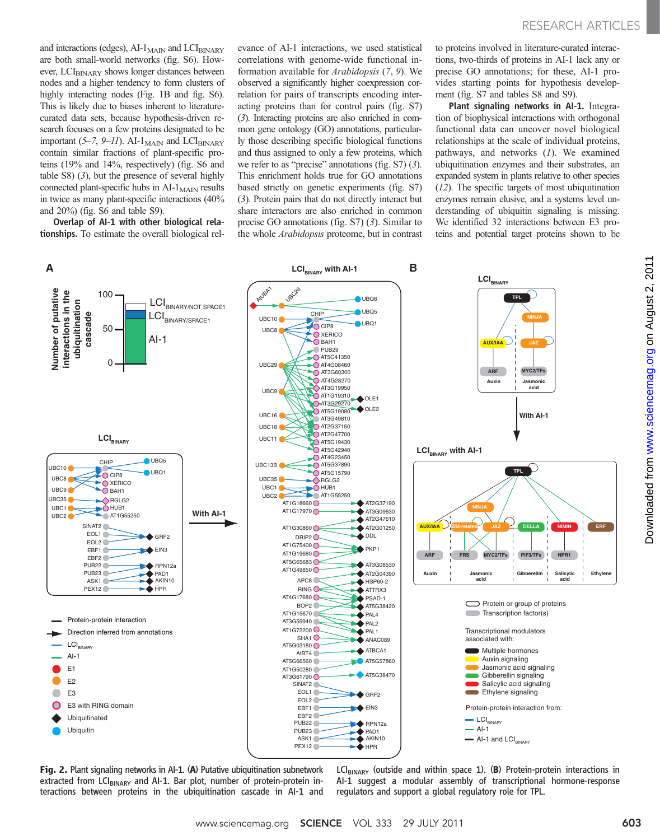and interactions (edges),  $AI-1$ <sub>MAIN</sub> and  $LCI<sub>BINARY</sub>$ are both small-world networks (fig. S6). However, LCI<sub>BINARY</sub> shows longer distances between nodes and a higher tendency to form clusters of highly interacting nodes (Fig. 1B and fig. S6). This is likely due to biases inherent to literaturecurated data sets, because hypothesis-driven research focuses on a few proteins designated to be important (5–7, 9–11). AI-1 $_{\text{MAN}}$  and LCI $_{\text{BINARY}}$ contain similar fractions of plant-specific proteins (19% and 14%, respectively) (fig. S6 and table S8) (3), but the presence of several highly connected plant-specific hubs in  $AI-1<sub>MAIN</sub>$  results in twice as many plant-specific interactions (40% and 20%) (fig. S6 and table S9).

Overlap of AI-1 with other biological relationships. To estimate the overall biological relevance of AI-1 interactions, we used statistical correlations with genome-wide functional information available for Arabidopsis (7, 9). We observed a significantly higher coexpression correlation for pairs of transcripts encoding interacting proteins than for control pairs (fig. S7) (3). Interacting proteins are also enriched in common gene ontology (GO) annotations, particularly those describing specific biological functions and thus assigned to only a few proteins, which we refer to as "precise" annotations (fig. S7) (3). This enrichment holds true for GO annotations based strictly on genetic experiments (fig. S7) (3). Protein pairs that do not directly interact but share interactors are also enriched in common precise GO annotations (fig. S7) (3). Similar to the whole Arabidopsis proteome, but in contrast to proteins involved in literature-curated interactions, two-thirds of proteins in AI-1 lack any or precise GO annotations; for these, AI-1 provides starting points for hypothesis development (fig. S7 and tables S8 and S9).

Plant signaling networks in AI-1. Integration of biophysical interactions with orthogonal functional data can uncover novel biological relationships at the scale of individual proteins, pathways, and networks  $(1)$ . We examined ubiquitination enzymes and their substrates, an expanded system in plants relative to other species (12). The specific targets of most ubiquitination enzymes remain elusive, and a systems level understanding of ubiquitin signaling is missing. We identified 32 interactions between E3 proteins and potential target proteins shown to be



Fig. 2. Plant signaling networks in AI-1. (A) Putative ubiquitination subnetwork extracted from LCI $_{\text{BINARY}}$  and AI-1. Bar plot, number of protein-protein interactions between proteins in the ubiquitination cascade in AI-1 and  $LCI_{BINARY}$  (outside and within space 1). (B) Protein-protein interactions in AI-1 suggest a modular assembly of transcriptional hormone-response regulators and support a global regulatory role for TPL.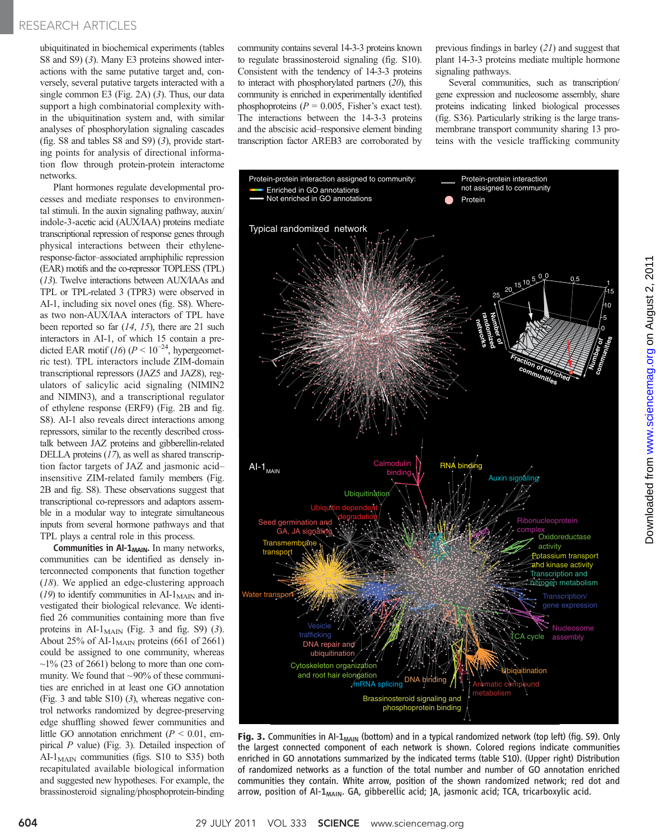ubiquitinated in biochemical experiments (tables S8 and S9) (3). Many E3 proteins showed interactions with the same putative target and, conversely, several putative targets interacted with a single common E3 (Fig. 2A) (3). Thus, our data support a high combinatorial complexity within the ubiquitination system and, with similar analyses of phosphorylation signaling cascades (fig. S8 and tables S8 and S9) (3), provide starting points for analysis of directional information flow through protein-protein interactome networks.

Plant hormones regulate developmental processes and mediate responses to environmental stimuli. In the auxin signaling pathway, auxin/ indole-3-acetic acid (AUX/IAA) proteins mediate transcriptional repression of response genes through physical interactions between their ethyleneresponse-factor–associated amphiphilic repression (EAR) motifs and the co-repressor TOPLESS (TPL) (13). Twelve interactions between AUX/IAAs and TPL or TPL-related 3 (TPR3) were observed in AI-1, including six novel ones (fig. S8). Whereas two non-AUX/IAA interactors of TPL have been reported so far (14, 15), there are 21 such interactors in AI-1, of which 15 contain a predicted EAR motif (16) ( $P \le 10^{-24}$ , hypergeometric test). TPL interactors include ZIM-domain transcriptional repressors (JAZ5 and JAZ8), regulators of salicylic acid signaling (NIMIN2 and NIMIN3), and a transcriptional regulator of ethylene response (ERF9) (Fig. 2B and fig. S8). AI-1 also reveals direct interactions among repressors, similar to the recently described crosstalk between JAZ proteins and gibberellin-related DELLA proteins (17), as well as shared transcription factor targets of JAZ and jasmonic acid– insensitive ZIM-related family members (Fig. 2B and fig. S8). These observations suggest that transcriptional co-repressors and adaptors assemble in a modular way to integrate simultaneous inputs from several hormone pathways and that TPL plays a central role in this process.

Communities in  $AI-1$ <sub>MAIN</sub>. In many networks, communities can be identified as densely interconnected components that function together (18). We applied an edge-clustering approach  $(19)$  to identify communities in AI-1<sub>MAIN</sub> and investigated their biological relevance. We identified 26 communities containing more than five proteins in AI-1 $_{\text{MAIN}}$  (Fig. 3 and fig. S9) (3). About 25% of AI- $1_{\text{MAIN}}$  proteins (661 of 2661) could be assigned to one community, whereas  $\sim$ 1% (23 of 2661) belong to more than one community. We found that ~90% of these communities are enriched in at least one GO annotation (Fig. 3 and table S10) (3), whereas negative control networks randomized by degree-preserving edge shuffling showed fewer communities and little GO annotation enrichment ( $P \le 0.01$ , empirical P value) (Fig. 3). Detailed inspection of  $AI-I<sub>MAN</sub>$  communities (figs. S10 to S35) both recapitulated available biological information and suggested new hypotheses. For example, the brassinosteroid signaling/phosphoprotein-binding

community contains several 14-3-3 proteins known to regulate brassinosteroid signaling (fig. S10). Consistent with the tendency of 14-3-3 proteins to interact with phosphorylated partners (20), this community is enriched in experimentally identified phosphoproteins ( $P = 0.005$ , Fisher's exact test). The interactions between the 14-3-3 proteins and the abscisic acid–responsive element binding transcription factor AREB3 are corroborated by

previous findings in barley (21) and suggest that plant 14-3-3 proteins mediate multiple hormone signaling pathways.

Several communities, such as transcription/ gene expression and nucleosome assembly, share proteins indicating linked biological processes (fig. S36). Particularly striking is the large transmembrane transport community sharing 13 proteins with the vesicle trafficking community



Fig. 3. Communities in AI-1<sub>MAIN</sub> (bottom) and in a typical randomized network (top left) (fig. S9). Only the largest connected component of each network is shown. Colored regions indicate communities enriched in GO annotations summarized by the indicated terms (table S10). (Upper right) Distribution of randomized networks as a function of the total number and number of GO annotation enriched communities they contain. White arrow, position of the shown randomized network; red dot and arrow, position of AI- $1_{\text{MAIN}}$ . GA, gibberellic acid; JA, jasmonic acid; TCA, tricarboxylic acid.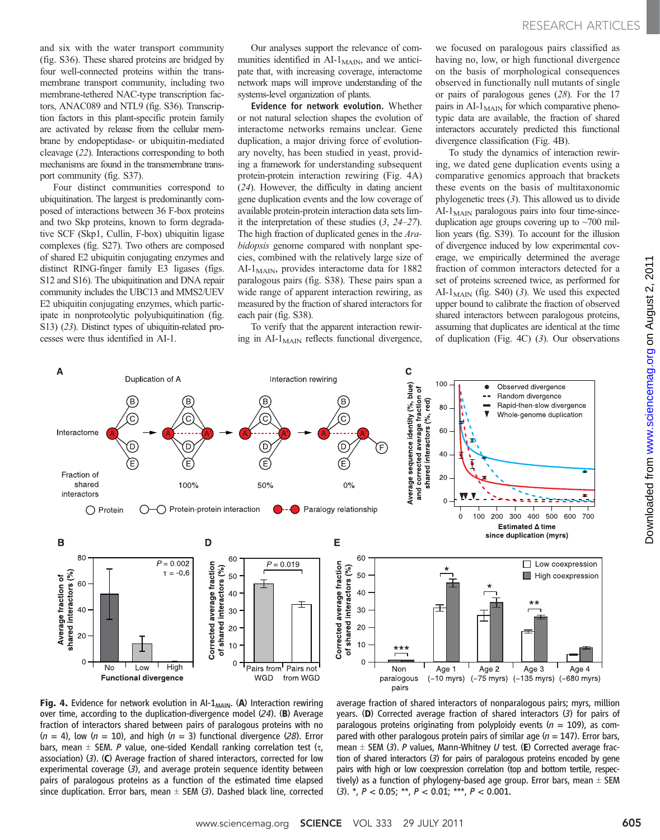and six with the water transport community (fig. S36). These shared proteins are bridged by four well-connected proteins within the transmembrane transport community, including two membrane-tethered NAC-type transcription factors, ANAC089 and NTL9 (fig. S36). Transcription factors in this plant-specific protein family are activated by release from the cellular membrane by endopeptidase- or ubiquitin-mediated cleavage (22). Interactions corresponding to both mechanisms are found in the transmembrane transport community (fig. S37).

Four distinct communities correspond to ubiquitination. The largest is predominantly composed of interactions between 36 F-box proteins and two Skp proteins, known to form degradative SCF (Skp1, Cullin, F-box) ubiquitin ligase complexes (fig. S27). Two others are composed of shared E2 ubiquitin conjugating enzymes and distinct RING-finger family E3 ligases (figs. S12 and S16). The ubiquitination and DNA repair community includes the UBC13 and MMS2/UEV E2 ubiquitin conjugating enzymes, which participate in nonproteolytic polyubiquitination (fig. S13) (23). Distinct types of ubiquitin-related processes were thus identified in AI-1.

Our analyses support the relevance of communities identified in  $AI-1_{MAN}$ , and we anticipate that, with increasing coverage, interactome network maps will improve understanding of the systems-level organization of plants.

Evidence for network evolution. Whether or not natural selection shapes the evolution of interactome networks remains unclear. Gene duplication, a major driving force of evolutionary novelty, has been studied in yeast, providing a framework for understanding subsequent protein-protein interaction rewiring (Fig. 4A) (24). However, the difficulty in dating ancient gene duplication events and the low coverage of available protein-protein interaction data sets limit the interpretation of these studies  $(3, 24-27)$ . The high fraction of duplicated genes in the Arabidopsis genome compared with nonplant species, combined with the relatively large size of AI-1<sub>MAIN</sub>, provides interactome data for 1882 paralogous pairs (fig. S38). These pairs span a wide range of apparent interaction rewiring, as measured by the fraction of shared interactors for each pair (fig. S38).

To verify that the apparent interaction rewiring in  $AI-1$ <sub>MAIN</sub> reflects functional divergence, we focused on paralogous pairs classified as having no, low, or high functional divergence on the basis of morphological consequences observed in functionally null mutants of single or pairs of paralogous genes (28). For the 17 pairs in  $AI-1<sub>MAN</sub>$  for which comparative phenotypic data are available, the fraction of shared interactors accurately predicted this functional divergence classification (Fig. 4B).

To study the dynamics of interaction rewiring, we dated gene duplication events using a comparative genomics approach that brackets these events on the basis of multitaxonomic phylogenetic trees (3). This allowed us to divide  $AI-1<sub>MAN</sub>$  paralogous pairs into four time-sinceduplication age groups covering up to  $\sim$ 700 million years (fig. S39). To account for the illusion of divergence induced by low experimental coverage, we empirically determined the average fraction of common interactors detected for a set of proteins screened twice, as performed for AI- $1_{\text{MAIN}}$  (fig. S40) (3). We used this expected upper bound to calibrate the fraction of observed shared interactors between paralogous proteins, assuming that duplicates are identical at the time of duplication (Fig. 4C) (3). Our observations



Fig. 4. Evidence for network evolution in AI- $1_{\text{MAIN}}$ . (A) Interaction rewiring over time, according to the duplication-divergence model (24). (B) Average fraction of interactors shared between pairs of paralogous proteins with no  $(n = 4)$ , low  $(n = 10)$ , and high  $(n = 3)$  functional divergence (28). Error bars, mean  $\pm$  SEM. P value, one-sided Kendall ranking correlation test ( $\tau$ , association) (3). (C) Average fraction of shared interactors, corrected for low experimental coverage (3), and average protein sequence identity between pairs of paralogous proteins as a function of the estimated time elapsed since duplication. Error bars, mean  $\pm$  SEM (3). Dashed black line, corrected

average fraction of shared interactors of nonparalogous pairs; myrs, million years. (D) Corrected average fraction of shared interactors (3) for pairs of paralogous proteins originating from polyploidy events ( $n = 109$ ), as compared with other paralogous protein pairs of similar age ( $n = 147$ ). Error bars, mean  $\pm$  SEM (3). P values, Mann-Whitney U test. (E) Corrected average fraction of shared interactors (3) for pairs of paralogous proteins encoded by gene pairs with high or low coexpression correlation (top and bottom tertile, respectively) as a function of phylogeny-based age group. Error bars, mean  $\pm$  SEM  $(3)$ . \*,  $P < 0.05$ ; \*\*,  $P < 0.01$ ; \*\*\*,  $P < 0.001$ .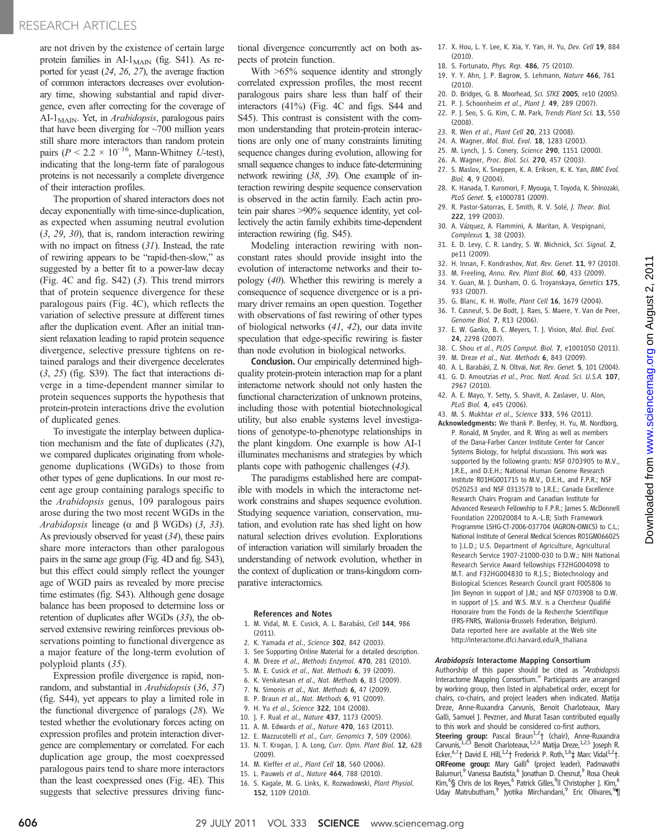are not driven by the existence of certain large protein families in  $AI-1$ <sub>MAIN</sub> (fig. S41). As reported for yeast (24, 26, 27), the average fraction of common interactors decreases over evolutionary time, showing substantial and rapid divergence, even after correcting for the coverage of AI-1 $_{\text{MAN}}$ . Yet, in *Arabidopsis*, paralogous pairs that have been diverging for  $~100$  million years still share more interactors than random protein pairs ( $P \le 2.2 \times 10^{-16}$ , Mann-Whitney U-test), indicating that the long-term fate of paralogous proteins is not necessarily a complete divergence of their interaction profiles.

The proportion of shared interactors does not decay exponentially with time-since-duplication, as expected when assuming neutral evolution (3, 29, 30), that is, random interaction rewiring with no impact on fitness (31). Instead, the rate of rewiring appears to be "rapid-then-slow," as suggested by a better fit to a power-law decay (Fig. 4C and fig. S42) (3). This trend mirrors that of protein sequence divergence for these paralogous pairs (Fig. 4C), which reflects the variation of selective pressure at different times after the duplication event. After an initial transient relaxation leading to rapid protein sequence divergence, selective pressure tightens on retained paralogs and their divergence decelerates (3, 25) (fig. S39). The fact that interactions diverge in a time-dependent manner similar to protein sequences supports the hypothesis that protein-protein interactions drive the evolution of duplicated genes.

To investigate the interplay between duplication mechanism and the fate of duplicates (32), we compared duplicates originating from wholegenome duplications (WGDs) to those from other types of gene duplications. In our most recent age group containing paralogs specific to the Arabidopsis genus, 109 paralogous pairs arose during the two most recent WGDs in the Arabidopsis lineage ( $\alpha$  and  $\beta$  WGDs) (3, 33). As previously observed for yeast (34), these pairs share more interactors than other paralogous pairs in the same age group (Fig. 4D and fig. S43), but this effect could simply reflect the younger age of WGD pairs as revealed by more precise time estimates (fig. S43). Although gene dosage balance has been proposed to determine loss or retention of duplicates after WGDs (33), the observed extensive rewiring reinforces previous observations pointing to functional divergence as a major feature of the long-term evolution of polyploid plants (35).

Expression profile divergence is rapid, nonrandom, and substantial in Arabidopsis (36, 37) (fig. S44), yet appears to play a limited role in the functional divergence of paralogs (28). We tested whether the evolutionary forces acting on expression profiles and protein interaction divergence are complementary or correlated. For each duplication age group, the most coexpressed paralogous pairs tend to share more interactors than the least coexpressed ones (Fig. 4E). This suggests that selective pressures driving functional divergence concurrently act on both aspects of protein function.

With >65% sequence identity and strongly correlated expression profiles, the most recent paralogous pairs share less than half of their interactors (41%) (Fig. 4C and figs. S44 and S45). This contrast is consistent with the common understanding that protein-protein interactions are only one of many constraints limiting sequence changes during evolution, allowing for small sequence changes to induce fate-determining network rewiring (38, 39). One example of interaction rewiring despite sequence conservation is observed in the actin family. Each actin protein pair shares >90% sequence identity, yet collectively the actin family exhibits time-dependent interaction rewiring (fig. S45).

Modeling interaction rewiring with nonconstant rates should provide insight into the evolution of interactome networks and their topology (40). Whether this rewiring is merely a consequence of sequence divergence or is a primary driver remains an open question. Together with observations of fast rewiring of other types of biological networks (41, 42), our data invite speculation that edge-specific rewiring is faster than node evolution in biological networks.

Conclusion. Our empirically determined highquality protein-protein interaction map for a plant interactome network should not only hasten the functional characterization of unknown proteins, including those with potential biotechnological utility, but also enable systems level investigations of genotype-to-phenotype relationships in the plant kingdom. One example is how AI-1 illuminates mechanisms and strategies by which plants cope with pathogenic challenges (43).

The paradigms established here are compatible with models in which the interactome network constrains and shapes sequence evolution. Studying sequence variation, conservation, mutation, and evolution rate has shed light on how natural selection drives evolution. Explorations of interaction variation will similarly broaden the understanding of network evolution, whether in the context of duplication or trans-kingdom comparative interactomics.

#### References and Notes

- 1. M. Vidal, M. E. Cusick, A. L. Barabási, Cell 144, 986  $(2011)$
- 2. K. Yamada et al., Science 302, 842 (2003).
- 3. See Supporting Online Material for a detailed description.
- 4. M. Dreze et al., Methods Enzymol. 470, 281 (2010).
- 5. M. E. Cusick et al., Nat. Methods 6, 39 (2009).
- 6. K. Venkatesan et al., Nat. Methods 6, 83 (2009).
- 7. N. Simonis et al., Nat. Methods 6, 47 (2009).
- 8. P. Braun et al., Nat. Methods 6, 91 (2009).
- 9. H. Yu et al., Science 322, 104 (2008).
- 10. 1. F. Rual et al., Nature 437, 1173 (2005).
- 11. A. M. Edwards et al., Nature 470, 163 (2011).
- 12. E. Mazzucotelli et al., Curr. Genomics 7, 509 (2006).
- 13. N. T. Krogan, J. A. Long, Curr. Opin. Plant Biol. 12, 628 (2009).
- 14. M. Kieffer et al., Plant Cell 18, 560 (2006).
- 15. L. Pauwels et al., Nature 464, 788 (2010).
- 16. S. Kagale, M. G. Links, K. Rozwadowski, Plant Physiol. 152, 1109 (2010).
- 17. X. Hou, L. Y. Lee, K. Xia, Y. Yan, H. Yu, Dev. Cell 19, 884 (2010).
- 18. S. Fortunato, Phys. Rep. 486, 75 (2010).
- 19. Y. Y. Ahn, J. P. Bagrow, S. Lehmann, Nature 466, 761 (2010).
- 20. D. Bridges, G. B. Moorhead, Sci. STKE 2005, re10 (2005).
- 21. P. J. Schoonheim et al., Plant J. 49, 289 (2007).
- 22. P. J. Seo, S. G. Kim, C. M. Park, Trends Plant Sci. 13, 550 (2008).
- 23. R. Wen et al., Plant Cell 20, 213 (2008).
- 24. A. Wagner, Mol. Biol. Evol. 18, 1283 (2001).
- 25. M. Lynch, J. S. Conery, Science 290, 1151 (2000).
- 26. A. Wagner, Proc. Biol. Sci. 270, 457 (2003).
- 27. S. Maslov, K. Sneppen, K. A. Eriksen, K. K. Yan, BMC Evol. Biol. 4, 9 (2004).
- 28. K. Hanada, T. Kuromori, F. Myouga, T. Toyoda, K. Shinozaki, PLoS Genet. 5, e1000781 (2009).
- 29. R. Pastor-Satorras, E. Smith, R. V. Solé, J. Theor. Biol. 222, 199 (2003).
- 30. A. Vázquez, A. Flammini, A. Maritan, A. Vespignani, Complexus 1, 38 (2003).
- 31. E. D. Levy, C. R. Landry, S. W. Michnick, Sci. Signal. 2, pe11 (2009).
- 32. H. Innan, F. Kondrashov, Nat. Rev. Genet. 11, 97 (2010).
- 33. M. Freeling, Annu. Rev. Plant Biol. 60, 433 (2009).
- 34. Y. Guan, M. J. Dunham, O. G. Troyanskaya, Genetics 175, 933 (2007).
- 35. G. Blanc, K. H. Wolfe, Plant Cell 16, 1679 (2004).
- 36. T. Casneuf, S. De Bodt, J. Raes, S. Maere, Y. Van de Peer, Genome Biol. 7, R13 (2006).
- 37. E. W. Ganko, B. C. Meyers, T. J. Vision, Mol. Biol. Evol. 24, 2298 (2007).
- 38. C. Shou et al., PLOS Comput. Biol. 7, e1001050 (2011).
- 39. M. Dreze et al., Nat. Methods 6, 843 (2009).
- 40. A. L. Barabási, Z. N. Oltvai, Nat. Rev. Genet. 5, 101 (2004). 41. G. D. Amoutzias et al., Proc. Natl. Acad. Sci. U.S.A. 107,
- 2967 (2010).
- 42. A. E. Mayo, Y. Setty, S. Shavit, A. Zaslaver, U. Alon, PLoS Biol. 4, e45 (2006).
- 43. M. S. Mukhtar et al., Science 333, 596 (2011).

Acknowledgments: We thank P. Benfey, H. Yu, M. Nordborg, P. Ronald, M Snyder, and R. Wing as well as members of the Dana-Farber Cancer Institute Center for Cancer Systems Biology, for helpful discussions. This work was supported by the following grants: NSF 0703905 to M.V., J.R.E., and D.E.H.; National Human Genome Research Institute R01HG001715 to M.V., D.E.H., and F.P.R.; NSF 0520253 and NSF 0313578 to J.R.E.; Canada Excellence Research Chairs Program and Canadian Institute for Advanced Research Fellowship to F.P.R.; James S. McDonnell Foundation 220020084 to A.-L.B; Sixth Framework Programme LSHG-CT-2006-037704 (AGRON-OMICS) to C.L.; National Institute of General Medical Sciences R01GM066025 to J.L.D.; U.S. Department of Agriculture, Agricultural Research Service 1907-21000-030 to D.W.; NIH National Research Service Award fellowships F32HG004098 to M.T. and F32HG004830 to R.J.S.; Biotechnology and Biological Sciences Research Council grant F005806 to Jim Beynon in support of J.M.; and NSF 0703908 to D.W. in support of J.S. and W.S. M.V. is a Chercheur Qualifié Honoraire from the Fonds de la Recherche Scientifique (FRS-FNRS, Wallonia-Brussels Federation, Belgium). Data reported here are available at the Web site http://interactome.dfci.harvard.edu/A\_thaliana

#### Arabidopsis Interactome Mapping Consortium

Authorship of this paper should be cited as "Arabidopsis Interactome Mapping Consortium." Participants are arranged by working group, then listed in alphabetical order, except for chairs, co-chairs, and project leaders when indicated. Matija Dreze, Anne-Ruxandra Carvunis, Benoit Charloteaux, Mary Galli, Samuel J. Pevzner, and Murat Tasan contributed equally to this work and should be considered co-first authors.

Steering group: Pascal Braun<sup>1,2</sup>† (chair), Anne-Ruxandra Carvunis,<sup>1,2,3</sup> Benoit Charloteaux,<sup>1,2,4</sup> Matija Dreze,<sup>1,2,5</sup> Joseph R. Ecker,<sup>6,7</sup>† David E. Hill,<sup>1,2</sup>† Frederick P. Roth,<sup>1,8</sup>‡ Marc Vidal<sup>1,2</sup>†. ORFeome group: Mary Galli<sup>6</sup> (project leader), Padmavathi Balumuri,<sup>9</sup> Vanessa Bautista,<sup>6</sup> Jonathan D. Chesnut,<sup>9</sup> Rosa Cheuk Kim,<sup>6</sup>§ Chris de los Reyes,<sup>6</sup> Patrick Gilles,<sup>9</sup>ll Christopher J. Kim,<sup>6</sup> Uday Matrubutham,<sup>9</sup> Jyotika Mirchandani,<sup>9</sup> Eric Olivares,<sup>9</sup>¶